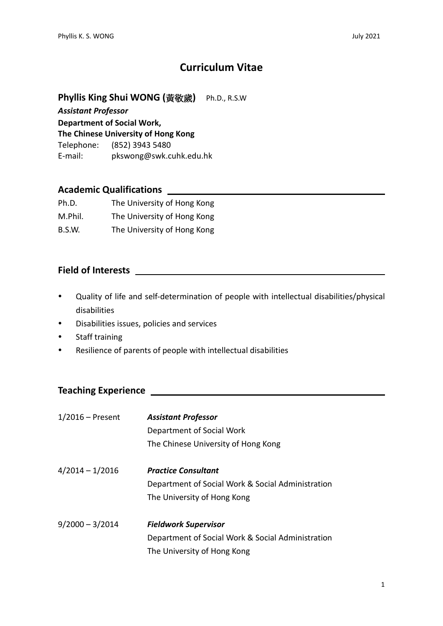# **Curriculum Vitae**

**Phyllis King Shui WONG (**黃敬歲**)** Ph.D., R.S.W

*Assistant Professor*

**Department of Social Work,** 

**The Chinese University of Hong Kong**

Telephone: (852) 3943 5480 E-mail: pkswong@swk.cuhk.edu.hk

#### **Academic Qualifications**

| Ph.D.   | The University of Hong Kong |
|---------|-----------------------------|
| M.Phil. | The University of Hong Kong |
| B.S.W.  | The University of Hong Kong |

#### **Field of Interests**

- Quality of life and self-determination of people with intellectual disabilities/physical disabilities
- Disabilities issues, policies and services
- Staff training
- Resilience of parents of people with intellectual disabilities

# **Teaching Experience**

| $1/2016$ – Present | <b>Assistant Professor</b><br>Department of Social Work<br>The Chinese University of Hong Kong                  |
|--------------------|-----------------------------------------------------------------------------------------------------------------|
| $4/2014 - 1/2016$  | <b>Practice Consultant</b><br>Department of Social Work & Social Administration<br>The University of Hong Kong  |
| $9/2000 - 3/2014$  | <b>Fieldwork Supervisor</b><br>Department of Social Work & Social Administration<br>The University of Hong Kong |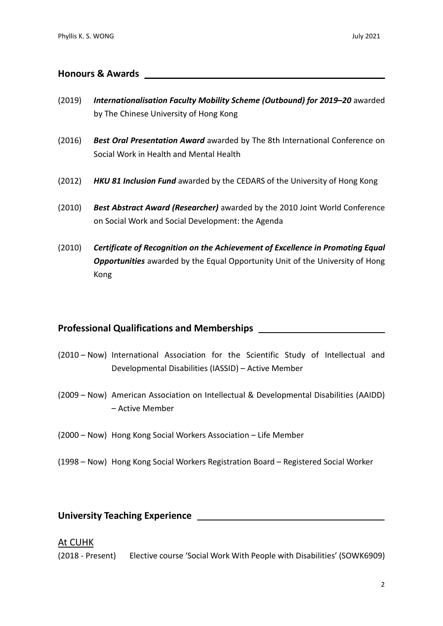#### **Honours & Awards**

- (2019) *Internationalisation Faculty Mobility Scheme (Outbound) for 2019–20* awarded by The Chinese University of Hong Kong
- (2016) *Best Oral Presentation Award* awarded by The 8th International Conference on Social Work in Health and Mental Health
- (2012) *HKU 81 Inclusion Fund* awarded by the CEDARS of the University of Hong Kong
- (2010) *Best Abstract Award (Researcher)* awarded by the 2010 Joint World Conference on Social Work and Social Development: the Agenda
- (2010) *Certificate of Recognition on the Achievement of Excellence in Promoting Equal Opportunities* awarded by the Equal Opportunity Unit of the University of Hong Kong

#### **Professional Qualifications and Memberships**

- (2010 Now) International Association for the Scientific Study of Intellectual and Developmental Disabilities (IASSID) – Active Member
- (2009 Now) American Association on Intellectual & Developmental Disabilities (AAIDD) – Active Member
- (2000 Now) Hong Kong Social Workers Association Life Member
- (1998 Now) Hong Kong Social Workers Registration Board Registered Social Worker

# **University Teaching Experience**

#### At CUHK

(2018 - Present) Elective course 'Social Work With People with Disabilities' (SOWK6909)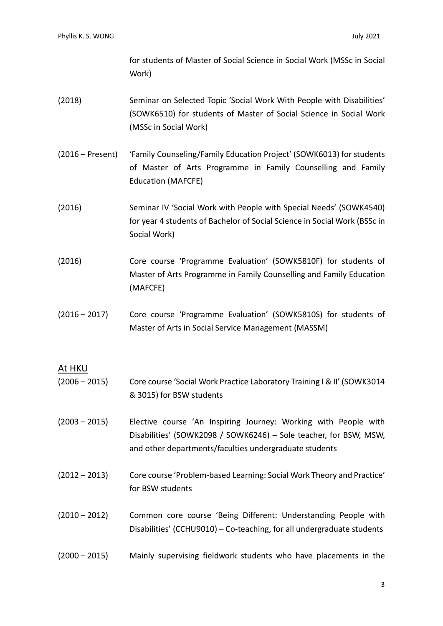for students of Master of Social Science in Social Work (MSSc in Social Work)

- (2018) Seminar on Selected Topic 'Social Work With People with Disabilities' (SOWK6510) for students of Master of Social Science in Social Work (MSSc in Social Work)
- (2016 Present) 'Family Counseling/Family Education Project' (SOWK6013) for students of Master of Arts Programme in Family Counselling and Family Education (MAFCFE)
- (2016) Seminar IV 'Social Work with People with Special Needs' (SOWK4540) for year 4 students of Bachelor of Social Science in Social Work (BSSc in Social Work)
- (2016) Core course 'Programme Evaluation' (SOWK5810F) for students of Master of Arts Programme in Family Counselling and Family Education (MAFCFE)
- (2016 2017) Core course 'Programme Evaluation' (SOWK5810S) for students of Master of Arts in Social Service Management (MASSM)

#### At HKU

- (2006 2015) Core course 'Social Work Practice Laboratory Training I & II' (SOWK3014 & 3015) for BSW students
- (2003 2015) Elective course 'An Inspiring Journey: Working with People with Disabilities' (SOWK2098 / SOWK6246) – Sole teacher, for BSW, MSW, and other departments/faculties undergraduate students
- (2012 2013) Core course 'Problem-based Learning: Social Work Theory and Practice' for BSW students
- (2010 2012) Common core course 'Being Different: Understanding People with Disabilities' (CCHU9010) – Co-teaching, for all undergraduate students
- (2000 2015) Mainly supervising fieldwork students who have placements in the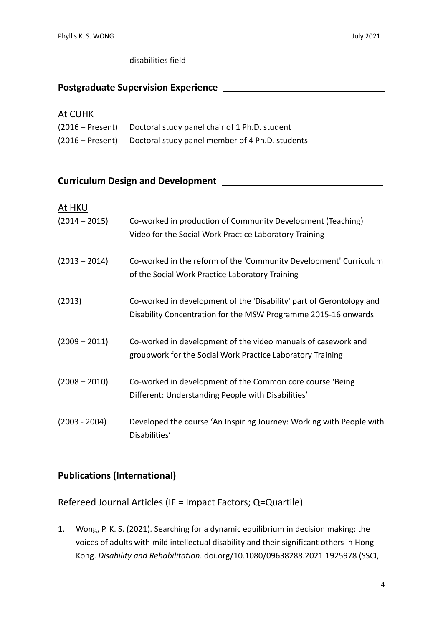#### disabilities field

#### **Postgraduate Supervision Experience**

#### At CUHK

| (2016 – Present) Doctoral study panel chair of 1 Ph.D. student   |
|------------------------------------------------------------------|
| (2016 – Present) Doctoral study panel member of 4 Ph.D. students |

#### **Curriculum Design and Development**

| At HKU          |                                                                                                                                        |
|-----------------|----------------------------------------------------------------------------------------------------------------------------------------|
| $(2014 - 2015)$ | Co-worked in production of Community Development (Teaching)<br>Video for the Social Work Practice Laboratory Training                  |
| $(2013 - 2014)$ | Co-worked in the reform of the 'Community Development' Curriculum<br>of the Social Work Practice Laboratory Training                   |
| (2013)          | Co-worked in development of the 'Disability' part of Gerontology and<br>Disability Concentration for the MSW Programme 2015-16 onwards |
| $(2009 - 2011)$ | Co-worked in development of the video manuals of casework and<br>groupwork for the Social Work Practice Laboratory Training            |
| $(2008 - 2010)$ | Co-worked in development of the Common core course 'Being<br>Different: Understanding People with Disabilities'                        |
| $(2003 - 2004)$ | Developed the course 'An Inspiring Journey: Working with People with<br>Disabilities'                                                  |

# **Publications (International)**

### Refereed Journal Articles (IF = Impact Factors; Q=Quartile)

1. Wong, P. K. S. (2021). Searching for a dynamic equilibrium in decision making: the voices of adults with mild intellectual disability and their significant others in Hong Kong. *Disability and Rehabilitation*. doi.org/10.1080/09638288.2021.1925978 (SSCI,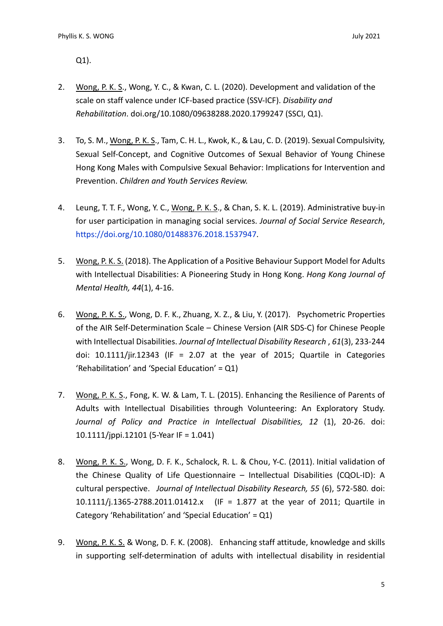Q1).

- 2. Wong, P. K. S., Wong, Y. C., & Kwan, C. L. (2020). Development and validation of the scale on staff valence under ICF-based practice (SSV-ICF). *Disability and Rehabilitation*. doi.org/10.1080/09638288.2020.1799247 (SSCI, Q1).
- 3. To, S. M., Wong, P. K. S., Tam, C. H. L., Kwok, K., & Lau, C. D. (2019). Sexual Compulsivity, Sexual Self-Concept, and Cognitive Outcomes of Sexual Behavior of Young Chinese Hong Kong Males with Compulsive Sexual Behavior: Implications for Intervention and Prevention. *Children and Youth Services Review.*
- 4. Leung, T. T. F., Wong, Y. C., Wong, P. K. S., & Chan, S. K. L. (2019). Administrative buy-in for user participation in managing social services. *Journal of Social Service Research*, [https://doi.org/10.1080/01488376.2018.1537947.](https://doi.org/10.1080/01488376.2018.1537947)
- 5. Wong, P. K. S. (2018). The Application of a Positive Behaviour Support Model for Adults with Intellectual Disabilities: A Pioneering Study in Hong Kong. *Hong Kong Journal of Mental Health, 44*(1), 4-16.
- 6. Wong, P. K. S., Wong, D. F. K., Zhuang, X. Z., & Liu, Y. (2017). Psychometric Properties of the AIR Self-Determination Scale – Chinese Version (AIR SDS-C) for Chinese People with Intellectual Disabilities. *Journal of Intellectual Disability Research* , *61*(3), 233-244 doi:  $10.1111/$ jir.12343 (IF = 2.07 at the year of 2015; Quartile in Categories 'Rehabilitation' and 'Special Education' =  $Q1$ )
- 7. Wong, P. K. S., Fong, K. W. & Lam, T. L. (2015). Enhancing the Resilience of Parents of Adults with Intellectual Disabilities through Volunteering: An Exploratory Study. *Journal of Policy and Practice in Intellectual Disabilities, 12* (1), 20-26. doi: 10.1111/jppi.12101 (5-Year IF = 1.041)
- 8. Wong, P. K. S., Wong, D. F. K., Schalock, R. L. & Chou, Y-C. (2011). Initial validation of the Chinese Quality of Life Questionnaire – Intellectual Disabilities (CQOL-ID): A cultural perspective. *Journal of Intellectual Disability Research, 55* (6), 572-580*.* doi: 10.1111/j.1365-2788.2011.01412.x (IF = 1.877 at the year of 2011; Quartile in Category 'Rehabilitation' and 'Special Education' = Q1)
- 9. Wong, P. K. S. & Wong, D. F. K. (2008). Enhancing staff attitude, knowledge and skills in supporting self-determination of adults with intellectual disability in residential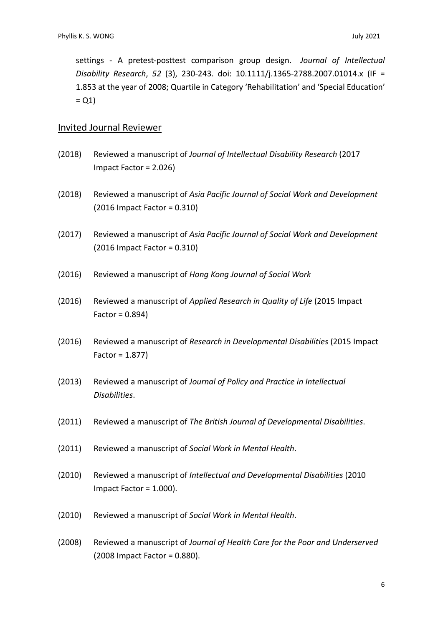settings - A pretest-posttest comparison group design. *Journal of Intellectual Disability Research*, *52* (3), 230-243. doi: 10.1111/j.1365-2788.2007.01014.x (IF = 1.853 at the year of 2008; Quartile in Category 'Rehabilitation' and 'Special Education'  $= Q1$ 

#### Invited Journal Reviewer

- (2018) Reviewed a manuscript of *Journal of Intellectual Disability Research* (2017 Impact Factor = 2.026)
- (2018) Reviewed a manuscript of *Asia Pacific Journal of Social Work and Development* (2016 Impact Factor = 0.310)
- (2017) Reviewed a manuscript of *Asia Pacific Journal of Social Work and Development* (2016 Impact Factor = 0.310)
- (2016) Reviewed a manuscript of *Hong Kong Journal of Social Work*
- (2016) Reviewed a manuscript of *Applied Research in Quality of Life* (2015 Impact Factor = 0.894)
- (2016) Reviewed a manuscript of *Research in Developmental Disabilities* (2015 Impact Factor = 1.877)
- (2013) Reviewed a manuscript of *Journal of Policy and Practice in Intellectual Disabilities*.
- (2011) Reviewed a manuscript of *The British Journal of Developmental Disabilities*.
- (2011) Reviewed a manuscript of *Social Work in Mental Health*.
- (2010) Reviewed a manuscript of *Intellectual and Developmental Disabilities* (2010 Impact Factor = 1.000).
- (2010) Reviewed a manuscript of *Social Work in Mental Health*.
- (2008) Reviewed a manuscript of *Journal of Health Care for the Poor and Underserved* (2008 Impact Factor = 0.880).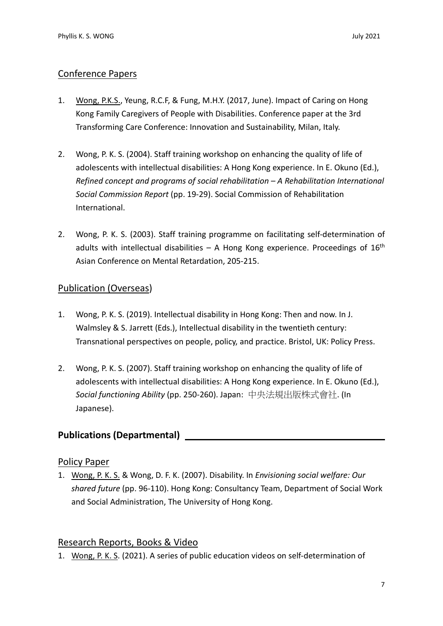#### Conference Papers

- 1. Wong, P.K.S., Yeung, R.C.F, & Fung, M.H.Y. (2017, June). Impact of Caring on Hong Kong Family Caregivers of People with Disabilities. Conference paper at the 3rd Transforming Care Conference: Innovation and Sustainability, Milan, Italy.
- 2. Wong, P. K. S. (2004). Staff training workshop on enhancing the quality of life of adolescents with intellectual disabilities: A Hong Kong experience. In E. Okuno (Ed.), *Refined concept and programs of social rehabilitation – A Rehabilitation International Social Commission Report* (pp. 19-29). Social Commission of Rehabilitation International.
- 2. Wong, P. K. S. (2003). Staff training programme on facilitating self-determination of adults with intellectual disabilities  $-$  A Hong Kong experience. Proceedings of  $16<sup>th</sup>$ Asian Conference on Mental Retardation, 205-215.

#### Publication (Overseas)

- 1. Wong, P. K. S. (2019). Intellectual disability in Hong Kong: Then and now. In J. Walmsley & S. Jarrett (Eds.), Intellectual disability in the twentieth century: Transnational perspectives on people, policy, and practice. Bristol, UK: Policy Press.
- 2. Wong, P. K. S. (2007). Staff training workshop on enhancing the quality of life of adolescents with intellectual disabilities: A Hong Kong experience. In E. Okuno (Ed.), *Social functioning Ability* (pp. 250-260). Japan: 中央法規出版株式會社. (In Japanese).

### **Publications (Departmental)**

#### Policy Paper

1. Wong, P. K. S. & Wong, D. F. K. (2007). Disability. In *Envisioning social welfare: Our shared future* (pp. 96-110). Hong Kong: Consultancy Team, Department of Social Work and Social Administration, The University of Hong Kong.

#### Research Reports, Books & Video

1. Wong, P. K. S. (2021). A series of public education videos on self-determination of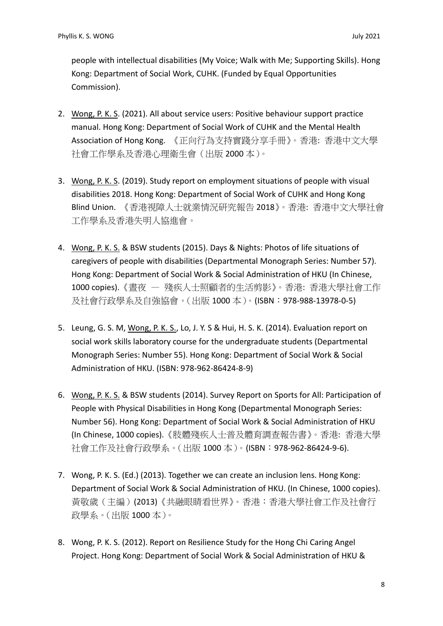people with intellectual disabilities (My Voice; Walk with Me; Supporting Skills). Hong Kong: Department of Social Work, CUHK. (Funded by Equal Opportunities Commission).

- 2. Wong, P. K. S. (2021). All about service users: Positive behaviour support practice manual. Hong Kong: Department of Social Work of CUHK and the Mental Health Association of Hong Kong. 《正向行為支持實踐分享手冊》。香港: 香港中文大學 社會工作學系及香港心理衛生會(出版 2000 本)。
- 3. Wong, P. K. S. (2019). Study report on employment situations of people with visual disabilities 2018. Hong Kong: Department of Social Work of CUHK and Hong Kong Blind Union. 《香港視障人士就業情況研究報告 2018》。香港: 香港中文大學社會 工作學系及香港失明人協進會。
- 4. Wong, P. K. S. & BSW students (2015). Days & Nights: Photos of life situations of caregivers of people with disabilities (Departmental Monograph Series: Number 57). Hong Kong: Department of Social Work & Social Administration of HKU (In Chinese, 1000 copies).《晝夜 — 殘疾人士照顧者的生活剪影》。香港: 香港大學社會工作 及社會行政學系及自強協會。(出版 1000 本)。(ISBN:978-988-13978-0-5)
- 5. Leung, G. S. M, Wong, P. K. S., Lo, J. Y. S & Hui, H. S. K. (2014). Evaluation report on social work skills laboratory course for the undergraduate students (Departmental Monograph Series: Number 55). Hong Kong: Department of Social Work & Social Administration of HKU. (ISBN: 978-962-86424-8-9)
- 6. Wong, P. K. S. & BSW students (2014). Survey Report on Sports for All: Participation of People with Physical Disabilities in Hong Kong (Departmental Monograph Series: Number 56). Hong Kong: Department of Social Work & Social Administration of HKU (In Chinese, 1000 copies).《肢體殘疾人士普及體育調查報告書》。香港: 香港大學 社會工作及社會行政學系。(出版 1000 本)。(ISBN:978-962-86424-9-6).
- 7. Wong, P. K. S. (Ed.) (2013). Together we can create an inclusion lens. Hong Kong: Department of Social Work & Social Administration of HKU. (In Chinese, 1000 copies). 黃敬歲(主編)(2013)《共融眼睛看世界》。香港:香港大學社會工作及社會行 政學系。(出版 1000 本)。
- 8. Wong, P. K. S. (2012). Report on Resilience Study for the Hong Chi Caring Angel Project. Hong Kong: Department of Social Work & Social Administration of HKU &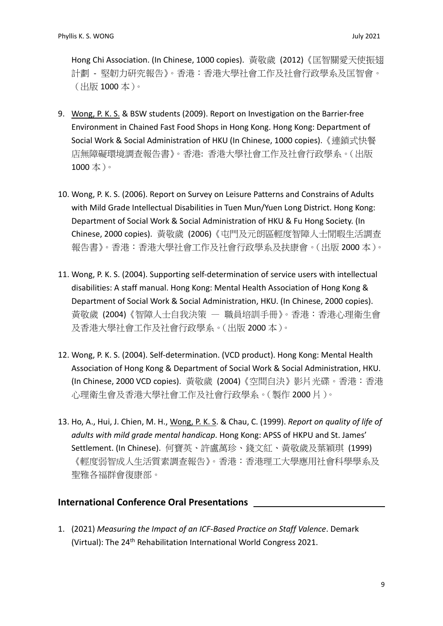Hong Chi Association. (In Chinese, 1000 copies). 黃敬歲 (2012)《匡智關愛天使振翅 計劃 - 堅韌力研究報告》。香港:香港大學社會工作及社會行政學系及匡智會。 (出版 1000 本)。

- 9. Wong, P. K. S. & BSW students (2009). Report on Investigation on the Barrier-free Environment in Chained Fast Food Shops in Hong Kong. Hong Kong: Department of Social Work & Social Administration of HKU (In Chinese, 1000 copies).《連鎖式快餐 店無障礙環境調查報告書》。香港: 香港大學社會工作及社會行政學系。(出版 1000 本)。
- 10. Wong, P. K. S. (2006). Report on Survey on Leisure Patterns and Constrains of Adults with Mild Grade Intellectual Disabilities in Tuen Mun/Yuen Long District. Hong Kong: Department of Social Work & Social Administration of HKU & Fu Hong Society. (In Chinese, 2000 copies). 黃敬歲 (2006)《屯門及元朗區輕度智障人士閒暇生活調查 報告書》。香港:香港大學社會工作及社會行政學系及扶康會。(出版 2000 本)。
- 11. Wong, P. K. S. (2004). Supporting self-determination of service users with intellectual disabilities: A staff manual. Hong Kong: Mental Health Association of Hong Kong & Department of Social Work & Social Administration, HKU. (In Chinese, 2000 copies). 黃敬歲 (2004)《智障人士自我決策 — 職員培訓手冊》。香港:香港心理衛生會 及香港大學社會工作及社會行政學系。(出版 2000 本)。
- 12. Wong, P. K. S. (2004). Self-determination. (VCD product). Hong Kong: Mental Health Association of Hong Kong & Department of Social Work & Social Administration, HKU. (In Chinese, 2000 VCD copies). 黃敬歲 (2004)《空間自決》影片光碟。香港:香港 心理衛生會及香港大學社會工作及社會行政學系。(製作 2000 片)。
- 13. Ho, A., Hui, J. Chien, M. H., Wong, P. K. S. & Chau, C. (1999). *Report on quality of life of adults with mild grade mental handicap*. Hong Kong: APSS of HKPU and St. James' Settlement. (In Chinese). 何寶英、許盧萬珍、錢文紅、黃敬歲及葉穎琪 (1999) 《輕度弱智成人生活質素調查報告》。香港:香港理工大學應用社會科學學系及 聖雅各福群會復康部。

#### **International Conference Oral Presentations**

1. (2021) *Measuring the Impact of an ICF-Based Practice on Staff Valence*. Demark (Virtual): The 24<sup>th</sup> Rehabilitation International World Congress 2021.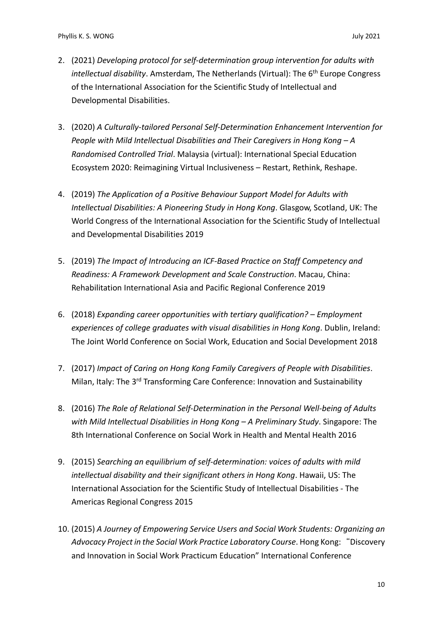- 2. (2021) *Developing protocol for self-determination group intervention for adults with intellectual disability*. Amsterdam, The Netherlands (Virtual): The 6<sup>th</sup> Europe Congress of the International Association for the Scientific Study of Intellectual and Developmental Disabilities.
- 3. (2020) *A Culturally-tailored Personal Self-Determination Enhancement Intervention for People with Mild Intellectual Disabilities and Their Caregivers in Hong Kong – A Randomised Controlled Trial*. Malaysia (virtual): International Special Education Ecosystem 2020: Reimagining Virtual Inclusiveness – Restart, Rethink, Reshape.
- 4. (2019) *The Application of a Positive Behaviour Support Model for Adults with Intellectual Disabilities: A Pioneering Study in Hong Kong*. Glasgow, Scotland, UK: The World Congress of the International Association for the Scientific Study of Intellectual and Developmental Disabilities 2019
- 5. (2019) *The Impact of Introducing an ICF-Based Practice on Staff Competency and Readiness: A Framework Development and Scale Construction*. Macau, China: Rehabilitation International Asia and Pacific Regional Conference 2019
- 6. (2018) *Expanding career opportunities with tertiary qualification? – Employment experiences of college graduates with visual disabilities in Hong Kong*. Dublin, Ireland: The Joint World Conference on Social Work, Education and Social Development 2018
- 7. (2017) *Impact of Caring on Hong Kong Family Caregivers of People with Disabilities*. Milan, Italy: The 3<sup>rd</sup> Transforming Care Conference: Innovation and Sustainability
- 8. (2016) *The Role of Relational Self-Determination in the Personal Well-being of Adults with Mild Intellectual Disabilities in Hong Kong – A Preliminary Study*. Singapore: The 8th International Conference on Social Work in Health and Mental Health 2016
- 9. (2015) *Searching an equilibrium of self-determination: voices of adults with mild intellectual disability and their significant others in Hong Kong*. Hawaii, US: The International Association for the Scientific Study of Intellectual Disabilities - The Americas Regional Congress 2015
- 10. (2015) *A Journey of Empowering Service Users and Social Work Students: Organizing an Advocacy Project in the Social Work Practice Laboratory Course*. Hong Kong:"Discovery and Innovation in Social Work Practicum Education" International Conference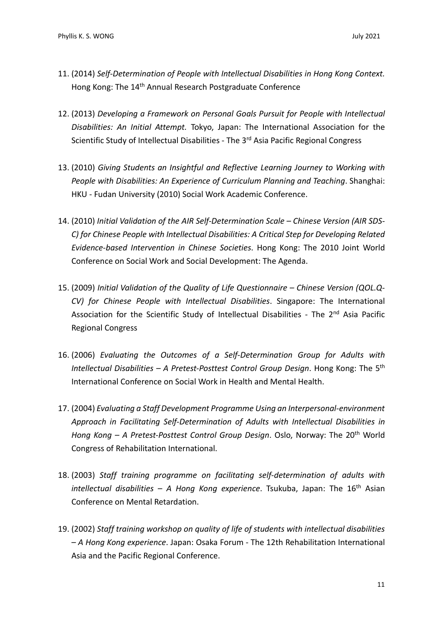- 11. (2014) *Self-Determination of People with Intellectual Disabilities in Hong Kong Context.*  Hong Kong: The 14th Annual Research Postgraduate Conference
- 12. (2013) *Developing a Framework on Personal Goals Pursuit for People with Intellectual Disabilities: An Initial Attempt.* Tokyo, Japan: The International Association for the Scientific Study of Intellectual Disabilities - The 3<sup>rd</sup> Asia Pacific Regional Congress
- 13. (2010) *Giving Students an Insightful and Reflective Learning Journey to Working with People with Disabilities: An Experience of Curriculum Planning and Teaching*. Shanghai: HKU - Fudan University (2010) Social Work Academic Conference.
- 14. (2010) *Initial Validation of the AIR Self-Determination Scale – Chinese Version (AIR SDS-C) for Chinese People with Intellectual Disabilities: A Critical Step for Developing Related Evidence-based Intervention in Chinese Societies*. Hong Kong: The 2010 Joint World Conference on Social Work and Social Development: The Agenda.
- 15. (2009) *Initial Validation of the Quality of Life Questionnaire – Chinese Version (QOL.Q-CV) for Chinese People with Intellectual Disabilities*. Singapore: The International Association for the Scientific Study of Intellectual Disabilities - The 2<sup>nd</sup> Asia Pacific Regional Congress
- 16. (2006) *Evaluating the Outcomes of a Self-Determination Group for Adults with Intellectual Disabilities – A Pretest-Posttest Control Group Design*. Hong Kong: The 5th International Conference on Social Work in Health and Mental Health.
- 17. (2004) *Evaluating a Staff Development Programme Using an Interpersonal-environment Approach in Facilitating Self-Determination of Adults with Intellectual Disabilities in Hong Kong – A Pretest-Posttest Control Group Design*. Oslo, Norway: The 20th World Congress of Rehabilitation International.
- 18. (2003) *Staff training programme on facilitating self-determination of adults with intellectual disabilities – A Hong Kong experience*. Tsukuba, Japan: The 16<sup>th</sup> Asian Conference on Mental Retardation.
- 19. (2002) *Staff training workshop on quality of life of students with intellectual disabilities – A Hong Kong experience*. Japan: Osaka Forum - The 12th Rehabilitation International Asia and the Pacific Regional Conference.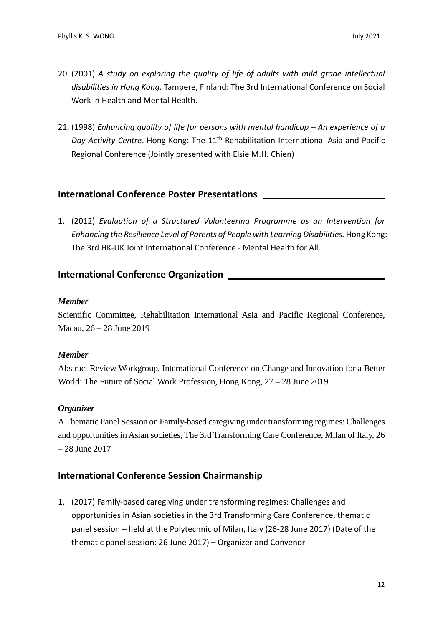- 20. (2001) *A study on exploring the quality of life of adults with mild grade intellectual disabilities in Hong Kong*. Tampere, Finland: The 3rd International Conference on Social Work in Health and Mental Health.
- 21. (1998) *Enhancing quality of life for persons with mental handicap – An experience of a*  Day Activity Centre. Hong Kong: The 11<sup>th</sup> Rehabilitation International Asia and Pacific Regional Conference (Jointly presented with Elsie M.H. Chien)

#### **International Conference Poster Presentations**

1. (2012) *Evaluation of a Structured Volunteering Programme as an Intervention for Enhancing the Resilience Level of Parents of People with Learning Disabilities.* Hong Kong: The 3rd HK-UK Joint International Conference - Mental Health for All.

#### **International Conference Organization**

#### *Member*

Scientific Committee, Rehabilitation International Asia and Pacific Regional Conference, Macau, 26 – 28 June 2019

#### *Member*

Abstract Review Workgroup, International Conference on Change and Innovation for a Better World: The Future of Social Work Profession, Hong Kong, 27 – 28 June 2019

#### *Organizer*

A Thematic Panel Session on Family-based caregiving under transforming regimes: Challenges and opportunities in Asian societies, The 3rd Transforming Care Conference, Milan of Italy, 26 – 28 June 2017

#### **International Conference Session Chairmanship**

1. (2017) Family-based caregiving under transforming regimes: Challenges and opportunities in Asian societies in the 3rd Transforming Care Conference, thematic panel session – held at the Polytechnic of Milan, Italy (26-28 June 2017) (Date of the thematic panel session: 26 June 2017) – Organizer and Convenor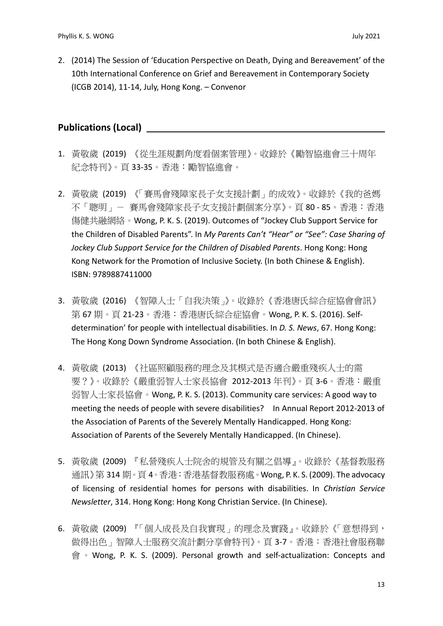2. (2014) The Session of 'Education Perspective on Death, Dying and Bereavement' of the 10th International Conference on Grief and Bereavement in Contemporary Society (ICGB 2014), 11-14, July, Hong Kong. – Convenor

### **Publications (Local)**

- 1. 黃敬歲 (2019) 《從生涯規劃角度看個案管理》。收錄於《勵智協進會三十周年 紀念特刊》。頁 33-35。香港:勵智協進會。
- 2. 黃敬歲 (2019) 《「賽馬會殘障家長子女支援計劃」的成效》。收錄於《我的爸媽 不「聰明」- 賽馬會殘障家長子女支援計劃個案分享》。頁 80 - 85。香港:香港 傷健共融網絡。Wong, P. K. S. (2019). Outcomes of "Jockey Club Support Service for the Children of Disabled Parents". In *My Parents Can't "Hear" or "See": Case Sharing of Jockey Club Support Service for the Children of Disabled Parents*. Hong Kong: Hong Kong Network for the Promotion of Inclusive Society. (In both Chinese & English). ISBN: 9789887411000
- 3. 黃敬歲 (2016) 《智障人士「自我決策」》。收錄於《香港唐氏綜合症協會會訊》 第 67 期。頁 21-23。香港:香港唐氏綜合症協會。Wong, P. K. S. (2016). Selfdetermination' for people with intellectual disabilities. In *D. S. News*, 67. Hong Kong: The Hong Kong Down Syndrome Association. (In both Chinese & English).
- 4. 黃敬歲 (2013) 《社區照顧服務的理念及其模式是否適合嚴重殘疾人士的需 要?》。收錄於《嚴重弱智人士家長協會 2012-2013 年刊》。頁 3-6。香港:嚴重 弱智人士家長協會。Wong, P. K. S. (2013). Community care services: A good way to meeting the needs of people with severe disabilities? In Annual Report 2012-2013 of the Association of Parents of the Severely Mentally Handicapped. Hong Kong: Association of Parents of the Severely Mentally Handicapped. (In Chinese).
- 5. 黃敬歲 (2009) 『私營殘疾人士院舍的規管及有關之倡導』。收錄於《基督教服務 通訊》第 314 期。頁 4。香港:香港基督教服務處。Wong, P. K. S. (2009). The advocacy of licensing of residential homes for persons with disabilities. In *Christian Service Newsletter*, 314. Hong Kong: Hong Kong Christian Service. (In Chinese).
- 6. 黃敬歲 (2009) 『「個人成長及自我實現」的理念及實踐』。收錄於《「意想得到, 做得出色」智障人士服務交流計劃分享會特刊》。頁 3-7。香港:香港社會服務聯 會。Wong, P. K. S. (2009). Personal growth and self-actualization: Concepts and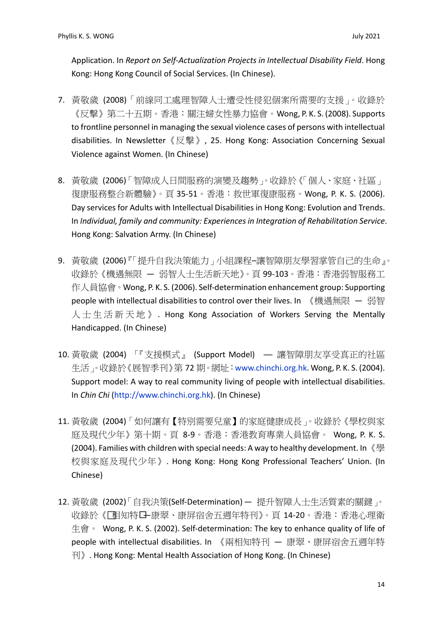Application. In *Report on Self-Actualization Projects in Intellectual Disability Field*. Hong Kong: Hong Kong Council of Social Services. (In Chinese).

- 7. 黃敬歲 (2008)「前線同工處理智障人士遭受性侵犯個案所需要的支援」。收錄於 《反擊》第二十五期。香港:關注婦女性暴力協會。Wong, P. K. S. (2008). Supports to frontline personnel in managing the sexual violence cases of persons with intellectual disabilities. In Newsletter《反擊》, 25. Hong Kong: Association Concerning Sexual Violence against Women. (In Chinese)
- 8. 黃敬歲 (2006)「智障成人日間服務的演變及趨勢」。收錄於《「個人、家庭、社區」 復康服務整合新體驗》。頁 35-51。香港:救世軍復康服務。Wong, P. K. S. (2006). Day services for Adults with Intellectual Disabilities in Hong Kong: Evolution and Trends. In *Individual, family and community: Experiences in Integration of Rehabilitation Service*. Hong Kong: Salvation Army. (In Chinese)
- 9. 黃敬歲 (2006)『「提升自我決策能力」小組課程-讓智障朋友學習掌管自己的生命』。 收錄於《機遇無限 — 弱智人士生活新天地》。頁 99-103。香港:香港弱智服務工 作人員協會。Wong, P. K. S. (2006). Self-determination enhancement group: Supporting people with intellectual disabilities to control over their lives. In 《機遇無限 — 弱智 人士生活新天地》 . Hong Kong Association of Workers Serving the Mentally Handicapped. (In Chinese)
- 10. 黃敬歲 (2004) 「『支援模式』 (Support Model) ── 讓智障朋友享受真正的社區 生活」。收錄於《展智季刊》第 72 期。網址:[www.chinchi.org.hk.](http://www.chinchi.org.hk/) Wong, P. K. S. (2004). Support model: A way to real community living of people with intellectual disabilities. In *Chin Chi* [\(http://www.chinchi.org.hk\)](http://www.chinchi.org.hk/). (In Chinese)
- 11. 黃敬歲 (2004)「如何讓有【特別需要兒童】的家庭健康成長」。收錄於《學校與家 庭及現代少年》第十期。頁 8-9。香港:香港教育專業人員協會。 Wong, P. K. S. (2004). Families with children with special needs: A way to healthy development. In 《學 校與家庭及現代少年》. Hong Kong: Hong Kong Professional Teachers' Union. (In Chinese)
- 12. 黃敬歲 (2002)「自我決策(Self-Determination) 提升智障人士生活質素的關鍵」。 收錄於《『相知特日-康翠、康屏宿舍五週年特刊》。頁 14-20。香港:香港心理衛  $\dagger$ 會 。 Wong, P. K. S. (2002). Self-determination: The key to enhance quality of life of people with intellectual disabilities. In 《兩相知特刊 — 康翠、康屏宿舍五週年特 刊》. Hong Kong: Mental Health Association of Hong Kong. (In Chinese)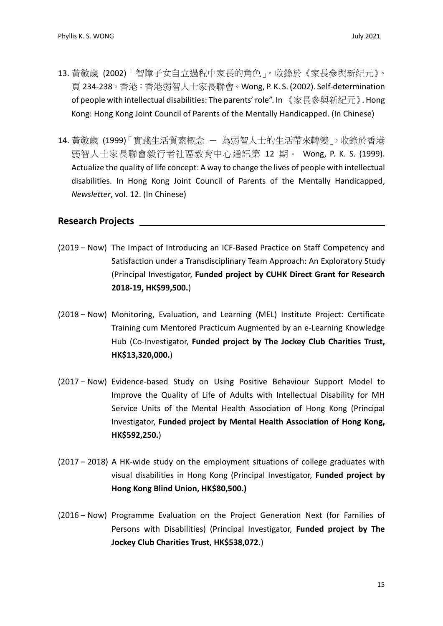- 13. 黃敬歲 (2002)「智障子女自立過程中家長的角色」。收錄於《家長參與新紀元》。 頁 234-238。香港:香港弱智人士家長聯會。Wong, P. K. S. (2002). Self-determination of people with intellectual disabilities: The parents' role". In 《家長參與新紀元》. Hong Kong: Hong Kong Joint Council of Parents of the Mentally Handicapped. (In Chinese)
- 14. 黃敬歲 (1999)「實踐生活質素概念 為弱智人士的生活帶來轉變」。收錄於香港 弱智人士家長聯會毅行者社區教育中心通訊第 12 期。 Wong, P. K. S. (1999). Actualize the quality of life concept: A way to change the lives of people with intellectual disabilities. In Hong Kong Joint Council of Parents of the Mentally Handicapped, *Newsletter*, vol. 12. (In Chinese)

#### **Research Projects**

- (2019 Now) The Impact of Introducing an ICF-Based Practice on Staff Competency and Satisfaction under a Transdisciplinary Team Approach: An Exploratory Study (Principal Investigator, **Funded project by CUHK Direct Grant for Research 2018-19, HK\$99,500.**)
- (2018 Now) Monitoring, Evaluation, and Learning (MEL) Institute Project: Certificate Training cum Mentored Practicum Augmented by an e-Learning Knowledge Hub (Co-Investigator, **Funded project by The Jockey Club Charities Trust, HK\$13,320,000.**)
- (2017 Now) Evidence-based Study on Using Positive Behaviour Support Model to Improve the Quality of Life of Adults with Intellectual Disability for MH Service Units of the Mental Health Association of Hong Kong (Principal Investigator, **Funded project by Mental Health Association of Hong Kong, HK\$592,250.**)
- (2017 2018) A HK-wide study on the employment situations of college graduates with visual disabilities in Hong Kong (Principal Investigator, **Funded project by Hong Kong Blind Union, HK\$80,500.)**
- (2016 Now) Programme Evaluation on the Project Generation Next (for Families of Persons with Disabilities) (Principal Investigator, **Funded project by The Jockey Club Charities Trust, HK\$538,072.**)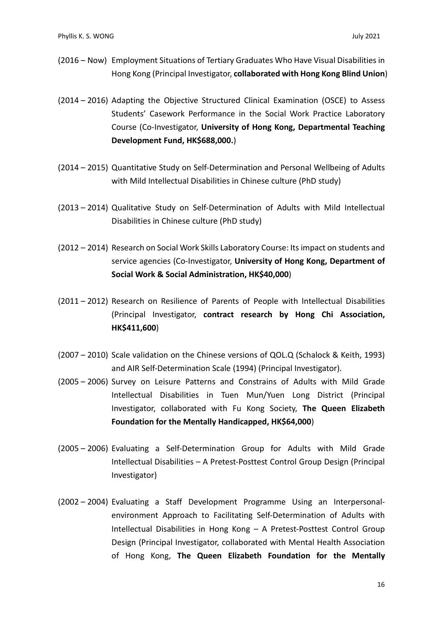- (2016 Now) Employment Situations of Tertiary Graduates Who Have Visual Disabilities in Hong Kong (Principal Investigator, **collaborated with Hong Kong Blind Union**)
- (2014 2016) Adapting the Objective Structured Clinical Examination (OSCE) to Assess Students' Casework Performance in the Social Work Practice Laboratory Course (Co-Investigator, **University of Hong Kong, Departmental Teaching Development Fund, HK\$688,000.**)
- (2014 2015) Quantitative Study on Self-Determination and Personal Wellbeing of Adults with Mild Intellectual Disabilities in Chinese culture (PhD study)
- (2013 2014) Qualitative Study on Self-Determination of Adults with Mild Intellectual Disabilities in Chinese culture (PhD study)
- (2012 2014) Research on Social Work Skills Laboratory Course: Itsimpact on students and service agencies (Co-Investigator, **University of Hong Kong, Department of Social Work & Social Administration, HK\$40,000**)
- (2011 2012) Research on Resilience of Parents of People with Intellectual Disabilities (Principal Investigator, **contract research by Hong Chi Association, HK\$411,600**)
- (2007 2010) Scale validation on the Chinese versions of QOL.Q (Schalock & Keith, 1993) and AIR Self-Determination Scale (1994) (Principal Investigator).
- (2005 2006) Survey on Leisure Patterns and Constrains of Adults with Mild Grade Intellectual Disabilities in Tuen Mun/Yuen Long District (Principal Investigator, collaborated with Fu Kong Society, **The Queen Elizabeth Foundation for the Mentally Handicapped, HK\$64,000**)
- (2005 2006) Evaluating a Self-Determination Group for Adults with Mild Grade Intellectual Disabilities – A Pretest-Posttest Control Group Design (Principal Investigator)
- (2002 2004) Evaluating a Staff Development Programme Using an Interpersonalenvironment Approach to Facilitating Self-Determination of Adults with Intellectual Disabilities in Hong Kong – A Pretest-Posttest Control Group Design (Principal Investigator, collaborated with Mental Health Association of Hong Kong, **The Queen Elizabeth Foundation for the Mentally**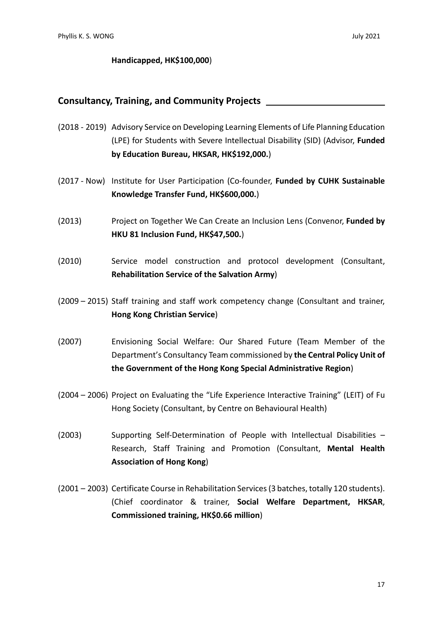#### **Handicapped, HK\$100,000**)

#### **Consultancy, Training, and Community Projects**

- (2018 2019) Advisory Service on Developing Learning Elements of Life Planning Education (LPE) for Students with Severe Intellectual Disability (SID) (Advisor, **Funded by Education Bureau, HKSAR, HK\$192,000.**)
- (2017 Now) Institute for User Participation (Co-founder, **Funded by CUHK Sustainable Knowledge Transfer Fund, HK\$600,000.**)
- (2013) Project on Together We Can Create an Inclusion Lens (Convenor, **Funded by HKU 81 Inclusion Fund, HK\$47,500.**)
- (2010) Service model construction and protocol development (Consultant, **Rehabilitation Service of the Salvation Army**)
- (2009 2015) Staff training and staff work competency change (Consultant and trainer, **Hong Kong Christian Service**)
- (2007) Envisioning Social Welfare: Our Shared Future (Team Member of the Department's Consultancy Team commissioned by **the Central Policy Unit of the Government of the Hong Kong Special Administrative Region**)
- (2004 2006) Project on Evaluating the "Life Experience Interactive Training" (LEIT) of Fu Hong Society (Consultant, by Centre on Behavioural Health)
- (2003) Supporting Self-Determination of People with Intellectual Disabilities Research, Staff Training and Promotion (Consultant, **Mental Health Association of Hong Kong**)
- (2001 2003) Certificate Course in Rehabilitation Services(3 batches, totally 120 students). (Chief coordinator & trainer, **Social Welfare Department, HKSAR**, **Commissioned training, HK\$0.66 million**)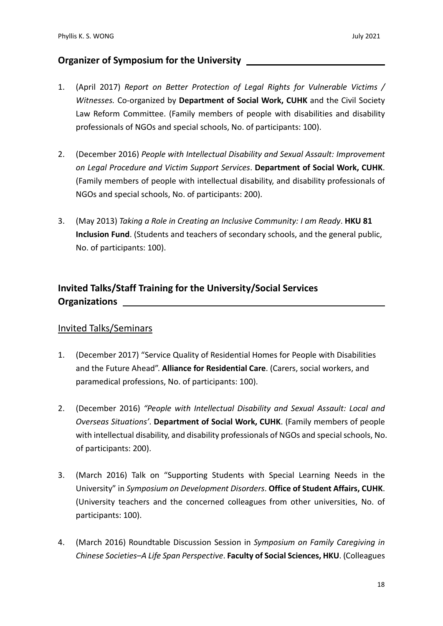#### **Organizer of Symposium for the University**

- 1. (April 2017) *Report on Better Protection of Legal Rights for Vulnerable Victims / Witnesses.* Co-organized by **Department of Social Work, CUHK** and the Civil Society Law Reform Committee. (Family members of people with disabilities and disability professionals of NGOs and special schools, No. of participants: 100).
- 2. (December 2016) *People with Intellectual Disability and Sexual Assault: Improvement on Legal Procedure and Victim Support Services*. **Department of Social Work, CUHK**. (Family members of people with intellectual disability, and disability professionals of NGOs and special schools, No. of participants: 200).
- 3. (May 2013) *Taking a Role in Creating an Inclusive Community: I am Ready*. **HKU 81 Inclusion Fund**. (Students and teachers of secondary schools, and the general public, No. of participants: 100).

## **Invited Talks/Staff Training for the University/Social Services Organizations**

#### Invited Talks/Seminars

- 1. (December 2017) "Service Quality of Residential Homes for People with Disabilities and the Future Ahead". **Alliance for Residential Care**. (Carers, social workers, and paramedical professions, No. of participants: 100).
- 2. (December 2016) *"People with Intellectual Disability and Sexual Assault: Local and Overseas Situations'*. **Department of Social Work, CUHK**. (Family members of people with intellectual disability, and disability professionals of NGOs and special schools, No. of participants: 200).
- 3. (March 2016) Talk on "Supporting Students with Special Learning Needs in the University" in *Symposium on Development Disorders*. **Office of Student Affairs, CUHK**. (University teachers and the concerned colleagues from other universities, No. of participants: 100).
- 4. (March 2016) Roundtable Discussion Session in *Symposium on Family Caregiving in Chinese Societies–A Life Span Perspective*. **Faculty of Social Sciences, HKU**. (Colleagues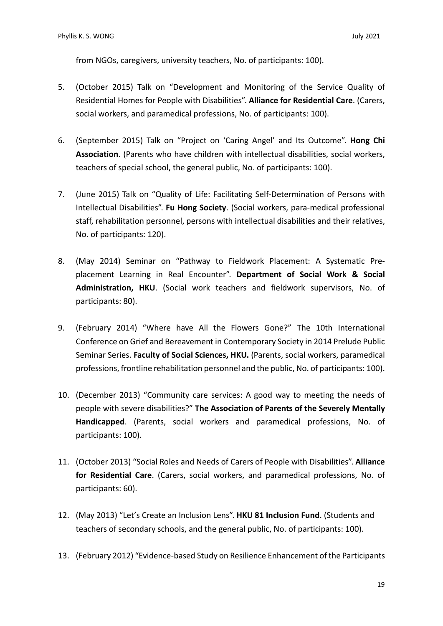from NGOs, caregivers, university teachers, No. of participants: 100).

- 5. (October 2015) Talk on "Development and Monitoring of the Service Quality of Residential Homes for People with Disabilities". **Alliance for Residential Care**. (Carers, social workers, and paramedical professions, No. of participants: 100).
- 6. (September 2015) Talk on "Project on 'Caring Angel' and Its Outcome". **Hong Chi Association**. (Parents who have children with intellectual disabilities, social workers, teachers of special school, the general public, No. of participants: 100).
- 7. (June 2015) Talk on "Quality of Life: Facilitating Self-Determination of Persons with Intellectual Disabilities". **Fu Hong Society**. (Social workers, para-medical professional staff, rehabilitation personnel, persons with intellectual disabilities and their relatives, No. of participants: 120).
- 8. (May 2014) Seminar on "Pathway to Fieldwork Placement: A Systematic Preplacement Learning in Real Encounter". **Department of Social Work & Social Administration, HKU**. (Social work teachers and fieldwork supervisors, No. of participants: 80).
- 9. (February 2014) "Where have All the Flowers Gone?" The 10th International Conference on Grief and Bereavement in Contemporary Society in 2014 Prelude Public Seminar Series. **Faculty of Social Sciences, HKU.** (Parents, social workers, paramedical professions, frontline rehabilitation personnel and the public, No. of participants: 100).
- 10. (December 2013) "Community care services: A good way to meeting the needs of people with severe disabilities?" **The Association of Parents of the Severely Mentally Handicapped**. (Parents, social workers and paramedical professions, No. of participants: 100).
- 11. (October 2013) "Social Roles and Needs of Carers of People with Disabilities". **Alliance for Residential Care**. (Carers, social workers, and paramedical professions, No. of participants: 60).
- 12. (May 2013) "Let's Create an Inclusion Lens". **HKU 81 Inclusion Fund**. (Students and teachers of secondary schools, and the general public, No. of participants: 100).
- 13. (February 2012) "Evidence-based Study on Resilience Enhancement of the Participants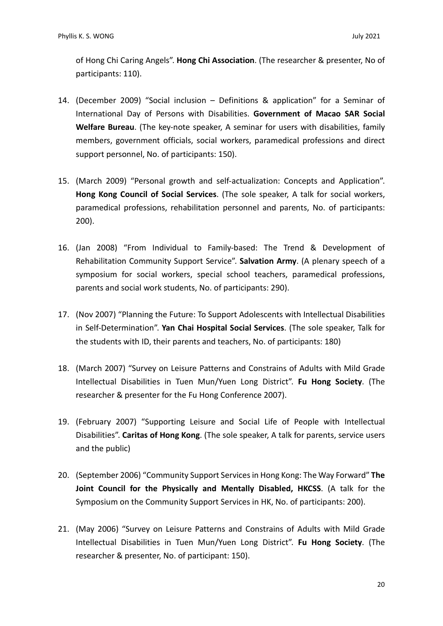of Hong Chi Caring Angels". **Hong Chi Association**. (The researcher & presenter, No of participants: 110).

- 14. (December 2009) "Social inclusion Definitions & application" for a Seminar of International Day of Persons with Disabilities. **Government of Macao SAR Social Welfare Bureau**. (The key-note speaker, A seminar for users with disabilities, family members, government officials, social workers, paramedical professions and direct support personnel, No. of participants: 150).
- 15. (March 2009) "Personal growth and self-actualization: Concepts and Application". **Hong Kong Council of Social Services**. (The sole speaker, A talk for social workers, paramedical professions, rehabilitation personnel and parents, No. of participants: 200).
- 16. (Jan 2008) "From Individual to Family-based: The Trend & Development of Rehabilitation Community Support Service". **Salvation Army**. (A plenary speech of a symposium for social workers, special school teachers, paramedical professions, parents and social work students, No. of participants: 290).
- 17. (Nov 2007) "Planning the Future: To Support Adolescents with Intellectual Disabilities in Self-Determination". **Yan Chai Hospital Social Services**. (The sole speaker, Talk for the students with ID, their parents and teachers, No. of participants: 180)
- 18. (March 2007) "Survey on Leisure Patterns and Constrains of Adults with Mild Grade Intellectual Disabilities in Tuen Mun/Yuen Long District". **Fu Hong Society**. (The researcher & presenter for the Fu Hong Conference 2007).
- 19. (February 2007) "Supporting Leisure and Social Life of People with Intellectual Disabilities". **Caritas of Hong Kong**. (The sole speaker, A talk for parents, service users and the public)
- 20. (September 2006) "Community Support Services in Hong Kong: The Way Forward" **The Joint Council for the Physically and Mentally Disabled, HKCSS**. (A talk for the Symposium on the Community Support Services in HK, No. of participants: 200).
- 21. (May 2006) "Survey on Leisure Patterns and Constrains of Adults with Mild Grade Intellectual Disabilities in Tuen Mun/Yuen Long District". **Fu Hong Society**. (The researcher & presenter, No. of participant: 150).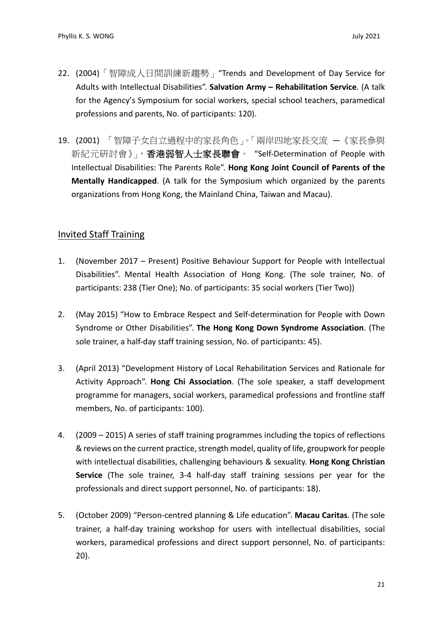- 22. (2004)「智障成人日間訓練新趨勢」"Trends and Development of Day Service for Adults with Intellectual Disabilities". **Salvation Army – Rehabilitation Service**. (A talk for the Agency's Symposium for social workers, special school teachers, paramedical professions and parents, No. of participants: 120).
- 19. (2001) 「智障子女自立過程中的家長角色」。「兩岸四地家長交流 —《家長參與 新紀元研討會》」,香港弱智人士家長聯會。 "Self-Determination of People with Intellectual Disabilities: The Parents Role". **Hong Kong Joint Council of Parents of the Mentally Handicapped**. (A talk for the Symposium which organized by the parents organizations from Hong Kong, the Mainland China, Taiwan and Macau).

#### Invited Staff Training

- 1. (November 2017 Present) Positive Behaviour Support for People with Intellectual Disabilities". Mental Health Association of Hong Kong. (The sole trainer, No. of participants: 238 (Tier One); No. of participants: 35 social workers (Tier Two))
- 2. (May 2015) "How to Embrace Respect and Self-determination for People with Down Syndrome or Other Disabilities". **The Hong Kong Down Syndrome Association**. (The sole trainer, a half-day staff training session, No. of participants: 45).
- 3. (April 2013) "Development History of Local Rehabilitation Services and Rationale for Activity Approach". **Hong Chi Association**. (The sole speaker, a staff development programme for managers, social workers, paramedical professions and frontline staff members, No. of participants: 100).
- 4. (2009 2015) A series of staff training programmes including the topics of reflections & reviews on the current practice, strength model, quality of life, groupwork for people with intellectual disabilities, challenging behaviours & sexuality. **Hong Kong Christian Service** (The sole trainer, 3-4 half-day staff training sessions per year for the professionals and direct support personnel, No. of participants: 18).
- 5. (October 2009) "Person-centred planning & Life education". **Macau Caritas**. (The sole trainer, a half-day training workshop for users with intellectual disabilities, social workers, paramedical professions and direct support personnel, No. of participants: 20).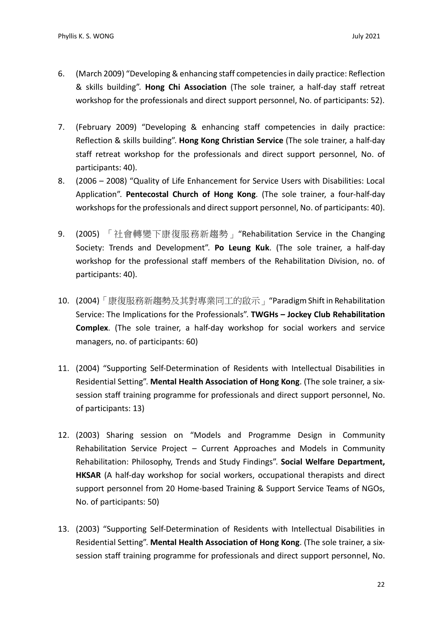- 6. (March 2009) "Developing & enhancing staff competencies in daily practice: Reflection & skills building". **Hong Chi Association** (The sole trainer, a half-day staff retreat workshop for the professionals and direct support personnel, No. of participants: 52).
- 7. (February 2009) "Developing & enhancing staff competencies in daily practice: Reflection & skills building". **Hong Kong Christian Service** (The sole trainer, a half-day staff retreat workshop for the professionals and direct support personnel, No. of participants: 40).
- 8. (2006 2008) "Quality of Life Enhancement for Service Users with Disabilities: Local Application". **Pentecostal Church of Hong Kong**. (The sole trainer, a four-half-day workshops for the professionals and direct support personnel, No. of participants: 40).
- 9. (2005) 「社會轉變下康復服務新趨勢」"Rehabilitation Service in the Changing Society: Trends and Development". **Po Leung Kuk**. (The sole trainer, a half-day workshop for the professional staff members of the Rehabilitation Division, no. of participants: 40).
- 10. (2004)「康復服務新趨勢及其對專業同工的啟示」"Paradigm Shift in Rehabilitation Service: The Implications for the Professionals". **TWGHs – Jockey Club Rehabilitation Complex**. (The sole trainer, a half-day workshop for social workers and service managers, no. of participants: 60)
- 11. (2004) "Supporting Self-Determination of Residents with Intellectual Disabilities in Residential Setting". **Mental Health Association of Hong Kong**. (The sole trainer, a sixsession staff training programme for professionals and direct support personnel, No. of participants: 13)
- 12. (2003) Sharing session on "Models and Programme Design in Community Rehabilitation Service Project – Current Approaches and Models in Community Rehabilitation: Philosophy, Trends and Study Findings". **Social Welfare Department, HKSAR** (A half-day workshop for social workers, occupational therapists and direct support personnel from 20 Home-based Training & Support Service Teams of NGOs, No. of participants: 50)
- 13. (2003) "Supporting Self-Determination of Residents with Intellectual Disabilities in Residential Setting". **Mental Health Association of Hong Kong**. (The sole trainer, a sixsession staff training programme for professionals and direct support personnel, No.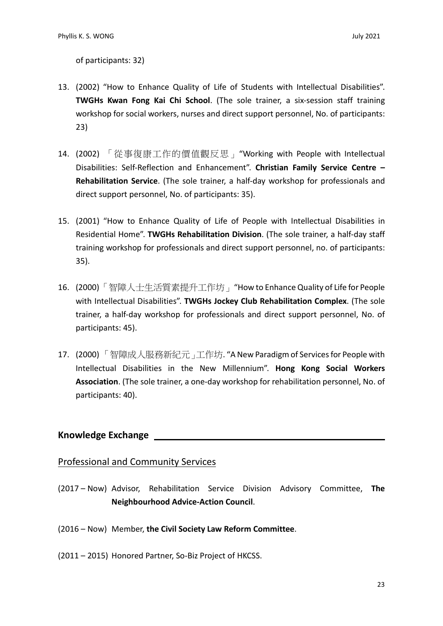of participants: 32)

- 13. (2002) "How to Enhance Quality of Life of Students with Intellectual Disabilities". **TWGHs Kwan Fong Kai Chi School**. (The sole trainer, a six-session staff training workshop for social workers, nurses and direct support personnel, No. of participants: 23)
- 14. (2002) 「從事復康工作的價值觀反思」"Working with People with Intellectual Disabilities: Self-Reflection and Enhancement". **Christian Family Service Centre – Rehabilitation Service**. (The sole trainer, a half-day workshop for professionals and direct support personnel, No. of participants: 35).
- 15. (2001) "How to Enhance Quality of Life of People with Intellectual Disabilities in Residential Home". **TWGHs Rehabilitation Division**. (The sole trainer, a half-day staff training workshop for professionals and direct support personnel, no. of participants: 35).
- 16. (2000) 「智障人士生活質素提升工作坊」"How to Enhance Quality of Life for People with Intellectual Disabilities". **TWGHs Jockey Club Rehabilitation Complex**. (The sole trainer, a half-day workshop for professionals and direct support personnel, No. of participants: 45).
- 17. (2000) 「智障成人服務新紀元」工作坊. "A New Paradigm of Services for People with Intellectual Disabilities in the New Millennium". **Hong Kong Social Workers Association**. (The sole trainer, a one-day workshop for rehabilitation personnel, No. of participants: 40).

#### **Knowledge Exchange**

#### Professional and Community Services

- (2017 Now) Advisor, Rehabilitation Service Division Advisory Committee, **The Neighbourhood Advice-Action Council**.
- (2016 Now) Member, **the Civil Society Law Reform Committee**.
- (2011 2015) Honored Partner, So-Biz Project of HKCSS.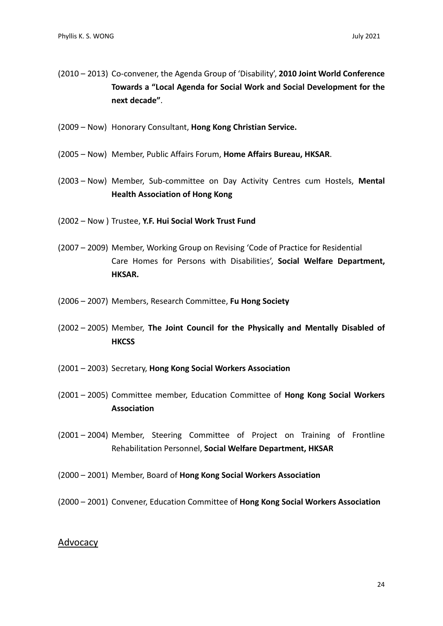- (2010 2013) Co-convener, the Agenda Group of 'Disability', **2010 Joint World Conference Towards a "Local Agenda for Social Work and Social Development for the next decade"**.
- (2009 Now) Honorary Consultant, **Hong Kong Christian Service.**
- (2005 Now) Member, Public Affairs Forum, **Home Affairs Bureau, HKSAR**.
- (2003 Now) Member, Sub-committee on Day Activity Centres cum Hostels, **Mental Health Association of Hong Kong**
- (2002 Now ) Trustee, **Y.F. Hui Social Work Trust Fund**
- (2007 2009) Member, Working Group on Revising 'Code of Practice for Residential Care Homes for Persons with Disabilities', **Social Welfare Department, HKSAR.**
- (2006 2007) Members, Research Committee, **Fu Hong Society**
- (2002 2005) Member, **The Joint Council for the Physically and Mentally Disabled of HKCSS**
- (2001 2003) Secretary, **Hong Kong Social Workers Association**
- (2001 2005) Committee member, Education Committee of **Hong Kong Social Workers Association**
- (2001 2004) Member, Steering Committee of Project on Training of Frontline Rehabilitation Personnel, **Social Welfare Department, HKSAR**
- (2000 2001) Member, Board of **Hong Kong Social Workers Association**
- (2000 2001) Convener, Education Committee of **Hong Kong Social Workers Association**

#### Advocacy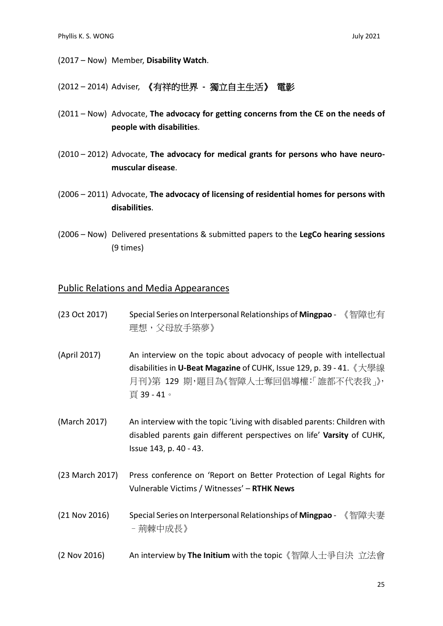(2017 – Now) Member, **Disability Watch**.

(2012 – 2014) Adviser, 《有祥的世界 **-** 獨立自主生活》 電影

- (2011 Now) Advocate, **The advocacy for getting concerns from the CE on the needs of people with disabilities**.
- (2010 2012) Advocate, **The advocacy for medical grants for persons who have neuromuscular disease**.
- (2006 2011) Advocate, **The advocacy of licensing of residential homes for persons with disabilities**.
- (2006 Now) Delivered presentations & submitted papers to the **LegCo hearing sessions** (9 times)

#### Public Relations and Media Appearances

- (23 Oct 2017) Special Series on Interpersonal Relationships of **Mingpao** 《智障也有 理想,父母放手築夢》
- (April 2017) An interview on the topic about advocacy of people with intellectual disabilities in **U-Beat Magazine** of CUHK, Issue 129, p. 39 - 41.《大學線 月刊》第 129 期,題目為《智障人士奪回倡導權:「誰都不代表我」》, 頁 39 - 41。
- (March 2017) An interview with the topic 'Living with disabled parents: Children with disabled parents gain different perspectives on life' **Varsity** of CUHK, Issue 143, p. 40 - 43.
- (23 March 2017) Press conference on 'Report on Better Protection of Legal Rights for Vulnerable Victims / Witnesses' – **RTHK News**
- (21 Nov 2016) Special Series on Interpersonal Relationships of **Mingpao** 《智障夫妻 –荊棘中成長》
- (2 Nov 2016) An interview by **The Initium** with the topic《智障人士爭自決 立法會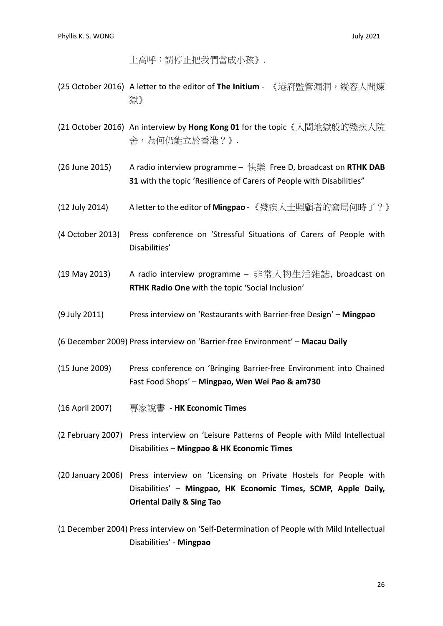上高呼:請停止把我們當成小孩》.

- (25 October 2016) A letter to the editor of The Initium 《港府監管漏洞,縱容人間煉 獄》
- (21 October 2016) An interview by **Hong Kong 01** for the topic《人間地獄般的殘疾人院 舍,為何仍能立於香港?》.
- (26 June 2015) A radio interview programme 快樂 Free D, broadcast on **RTHK DAB 31** with the topic 'Resilience of Carers of People with Disabilities"
- (12 July 2014) A letter to the editor of **Mingpao** -《殘疾人士照顧者的窘局何時了?》
- (4 October 2013) Press conference on 'Stressful Situations of Carers of People with Disabilities'
- (19 May 2013) A radio interview programme 非常人物生活雜誌, broadcast on **RTHK Radio One** with the topic 'Social Inclusion'
- (9 July 2011) Press interview on 'Restaurants with Barrier-free Design' **Mingpao**
- (6 December 2009) Press interview on 'Barrier-free Environment' **Macau Daily**
- (15 June 2009) Press conference on 'Bringing Barrier-free Environment into Chained Fast Food Shops' – **Mingpao, Wen Wei Pao & am730**
- (16 April 2007) 專家說書 **HK Economic Times**
- (2 February 2007) Press interview on 'Leisure Patterns of People with Mild Intellectual Disabilities – **Mingpao & HK Economic Times**
- (20 January 2006) Press interview on 'Licensing on Private Hostels for People with Disabilities' – **Mingpao, HK Economic Times, SCMP, Apple Daily, Oriental Daily & Sing Tao**
- (1 December 2004) Press interview on 'Self-Determination of People with Mild Intellectual Disabilities' - **Mingpao**